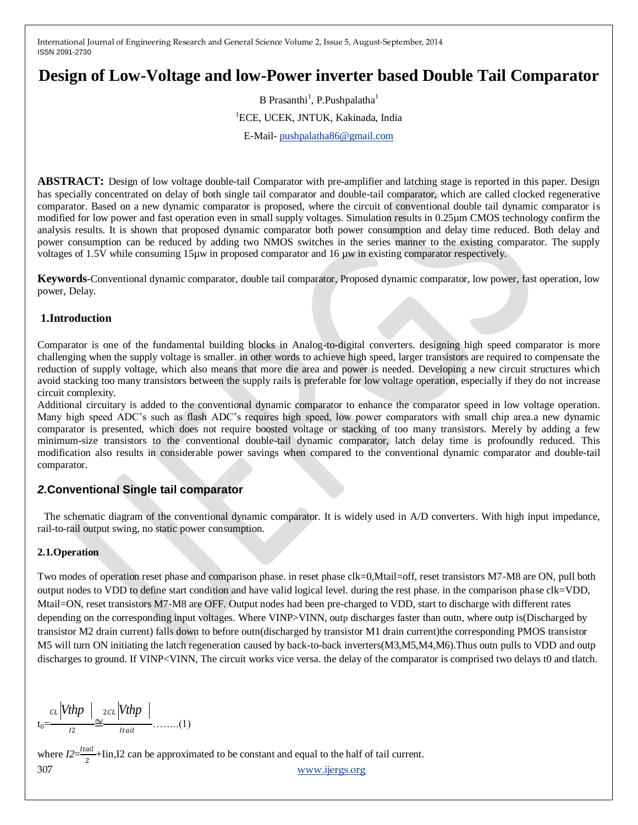# **Design of Low-Voltage and low-Power inverter based Double Tail Comparator**

B Prasanthi<sup>1</sup>, P.Pushpalatha<sup>1</sup> <sup>1</sup>ECE, UCEK, JNTUK, Kakinada, India E-Mail- [pushpalatha86@gmail.com](mailto:pushpalatha86@gmail.com)

**ABSTRACT:** Design of low voltage double-tail Comparator with pre-amplifier and latching stage is reported in this paper. Design has specially concentrated on delay of both single tail comparator and double-tail comparator, which are called clocked regenerative comparator. Based on a new dynamic comparator is proposed, where the circuit of conventional double tail dynamic comparator is modified for low power and fast operation even in small supply voltages. Simulation results in 0.25µm CMOS technology confirm the analysis results. It is shown that proposed dynamic comparator both power consumption and delay time reduced. Both delay and power consumption can be reduced by adding two NMOS switches in the series manner to the existing comparator. The supply voltages of 1.5V while consuming 15µw in proposed comparator and 16 µw in existing comparator respectively.

**Keywords-**Conventional dynamic comparator, double tail comparator, Proposed dynamic comparator, low power, fast operation, low power, Delay.

# **1.Introduction**

Comparator is one of the fundamental building blocks in Analog-to-digital converters. designing high speed comparator is more challenging when the supply voltage is smaller. in other words to achieve high speed, larger transistors are required to compensate the reduction of supply voltage, which also means that more die area and power is needed. Developing a new circuit structures which avoid stacking too many transistors between the supply rails is preferable for low voltage operation, especially if they do not increase circuit complexity.

Additional circuitary is added to the conventional dynamic comparator to enhance the comparator speed in low voltage operation. Many high speed ADC's such as flash ADC's requires high speed, low power comparators with small chip area.a new dynamic comparator is presented, which does not require boosted voltage or stacking of too many transistors. Merely by adding a few minimum-size transistors to the conventional double-tail dynamic comparator, latch delay time is profoundly reduced. This modification also results in considerable power savings when compared to the conventional dynamic comparator and double-tail comparator.

# *2.***Conventional Single tail comparator**

 The schematic diagram of the conventional dynamic comparator. It is widely used in A/D converters. With high input impedance, rail-to-rail output swing, no static power consumption.

#### **2.1.Operation**

Two modes of operation reset phase and comparison phase. in reset phase clk=0,Mtail=off, reset transistors M7-M8 are ON, pull both output nodes to VDD to define start condition and have valid logical level. during the rest phase. in the comparison phase clk=VDD, Mtail=ON, reset transistors M7-M8 are OFF. Output nodes had been pre-charged to VDD, start to discharge with different rates depending on the corresponding input voltages. Where VINP>VINN, outp discharges faster than outn, where outp is(Discharged by transistor M2 drain current) falls down to before outn(discharged by transistor M1 drain current)the corresponding PMOS transistor M5 will turn ON initiating the latch regeneration caused by back-to-back inverters(M3,M5,M4,M6).Thus outn pulls to VDD and outp discharges to ground. If VINP<VINN, The circuit works vice versa. the delay of the comparator is comprised two delays t0 and tlatch.

$$
\underset{t_0=-\text{true}}{\text{ct}}\left|\text{Vthp}\right|\underset{12}{\simeq}\underset{1}{\text{ct}}\left|\text{Vthp}\right|\underset{1\text{tail}}{\underbrace{\simeq}}\dots\dots(1)
$$

307 [www.ijergs.org](http://www.ijergs.org/) where  $I2=\frac{Itail}{2}$  $\frac{du}{2}$ +Iin,I2 can be approximated to be constant and equal to the half of tail current.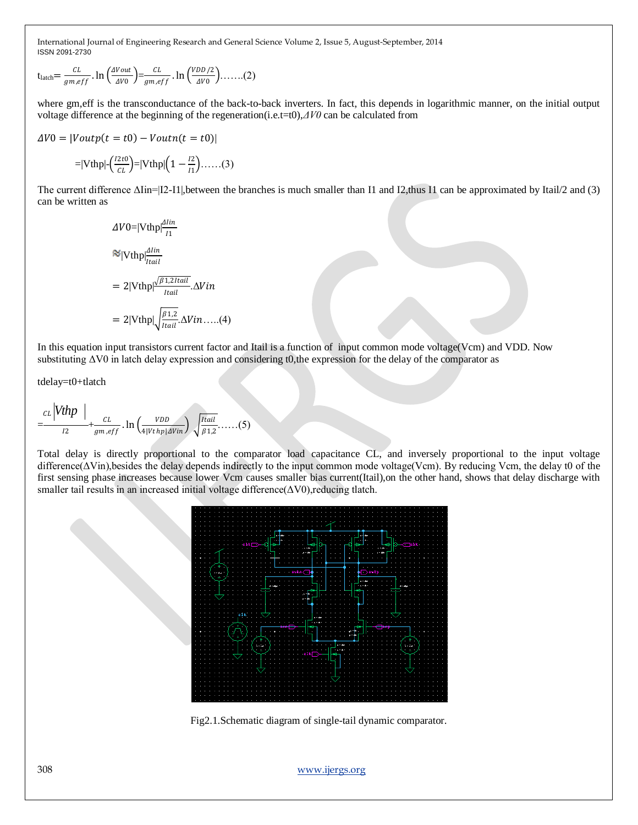$$
t_{\text{latch}} = \frac{CL}{gm, eff} \cdot \ln\left(\frac{\Delta Vout}{\Delta V0}\right) = \frac{CL}{gm, eff} \cdot \ln\left(\frac{VDD/2}{\Delta V0}\right) \dots \dots (2)
$$

where gm,eff is the transconductance of the back-to-back inverters. In fact, this depends in logarithmic manner, on the initial output voltage difference at the beginning of the regeneration(i.e.t=t0),*ΔV0* can be calculated from

$$
\Delta V0 = |Voutput(t = t0) - Voutn(t = t0)|
$$

$$
=|\text{Vthp}|\text{-}\left(\frac{2t}{CL}\right)=|\text{Vthp}|\left(1-\frac{t^2}{t^1}\right)\text{....}(3)
$$

The current difference ΔIin=|I2-I1|,between the branches is much smaller than I1 and I2,thus I1 can be approximated by Itail/2 and (3) can be written as

$$
\Delta V0 = |\text{Vthp}| \frac{\Delta lin}{I_1}
$$
  
\n
$$
\approx |\text{Vthp}| \frac{\Delta lin}{I_1}
$$
  
\n
$$
= 2|\text{Vthp}| \frac{\sqrt{\beta 1.21 \text{tail}}}{I_1 \text{tail}} \Delta Vin
$$
  
\n
$$
= 2|\text{Vthp}| \sqrt{\frac{\beta 1.2}{I_1 \text{tail}}} \Delta Vin....(4)
$$

In this equation input transistors current factor and Itail is a function of input common mode voltage(Vcm) and VDD. Now substituting ΔV0 in latch delay expression and considering t0,the expression for the delay of the comparator as

tdelay=t0+tlatch

$$
=\frac{ct}{t^2}\left|\frac{Vthp}{t^2}+\frac{ct}{gm,eff}\right.\ln\left(\frac{VDD}{4|Vthp|AVi}\right)\sqrt{\frac{Itail}{\beta 1,2}}\dots(5)
$$

Total delay is directly proportional to the comparator load capacitance CL, and inversely proportional to the input voltage difference(ΔVin),besides the delay depends indirectly to the input common mode voltage(Vcm). By reducing Vcm, the delay t0 of the first sensing phase increases because lower Vcm causes smaller bias current(Itail),on the other hand, shows that delay discharge with smaller tail results in an increased initial voltage difference( $\Delta$ V0), reducing tlatch.



Fig2.1.Schematic diagram of single-tail dynamic comparator.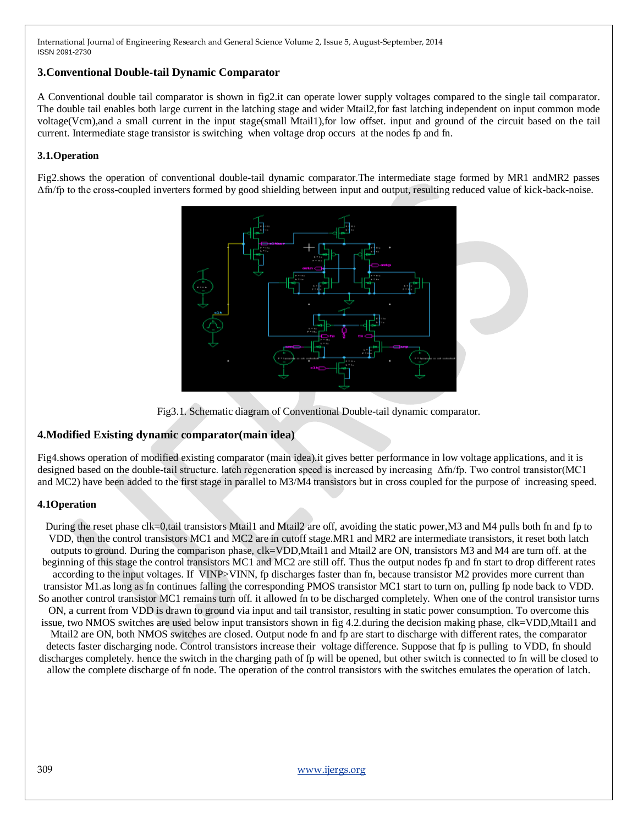## **3.Conventional Double-tail Dynamic Comparator**

A Conventional double tail comparator is shown in fig2.it can operate lower supply voltages compared to the single tail comparator. The double tail enables both large current in the latching stage and wider Mtail2,for fast latching independent on input common mode voltage(Vcm),and a small current in the input stage(small Mtail1),for low offset. input and ground of the circuit based on the tail current. Intermediate stage transistor is switching when voltage drop occurs at the nodes fp and fn.

## **3.1.Operation**

Fig2.shows the operation of conventional double-tail dynamic comparator.The intermediate stage formed by MR1 andMR2 passes Δfn/fp to the cross-coupled inverters formed by good shielding between input and output, resulting reduced value of kick-back-noise.





# **4.Modified Existing dynamic comparator(main idea)**

Fig4.shows operation of modified existing comparator (main idea).it gives better performance in low voltage applications, and it is designed based on the double-tail structure. latch regeneration speed is increased by increasing Δfn/fp. Two control transistor(MC1 and MC2) have been added to the first stage in parallel to M3/M4 transistors but in cross coupled for the purpose of increasing speed.

# **4.1Operation**

During the reset phase clk=0,tail transistors Mtail1 and Mtail2 are off, avoiding the static power,M3 and M4 pulls both fn and fp to VDD, then the control transistors MC1 and MC2 are in cutoff stage.MR1 and MR2 are intermediate transistors, it reset both latch outputs to ground. During the comparison phase, clk=VDD,Mtail1 and Mtail2 are ON, transistors M3 and M4 are turn off. at the beginning of this stage the control transistors MC1 and MC2 are still off. Thus the output nodes fp and fn start to drop different rates according to the input voltages. If VINP>VINN, fp discharges faster than fn, because transistor M2 provides more current than transistor M1.as long as fn continues falling the corresponding PMOS transistor MC1 start to turn on, pulling fp node back to VDD. So another control transistor MC1 remains turn off. it allowed fn to be discharged completely. When one of the control transistor turns ON, a current from VDD is drawn to ground via input and tail transistor, resulting in static power consumption. To overcome this issue, two NMOS switches are used below input transistors shown in fig 4.2.during the decision making phase, clk=VDD,Mtail1 and Mtail2 are ON, both NMOS switches are closed. Output node fn and fp are start to discharge with different rates, the comparator detects faster discharging node. Control transistors increase their voltage difference. Suppose that fp is pulling to VDD, fn should discharges completely. hence the switch in the charging path of fp will be opened, but other switch is connected to fn will be closed to allow the complete discharge of fn node. The operation of the control transistors with the switches emulates the operation of latch.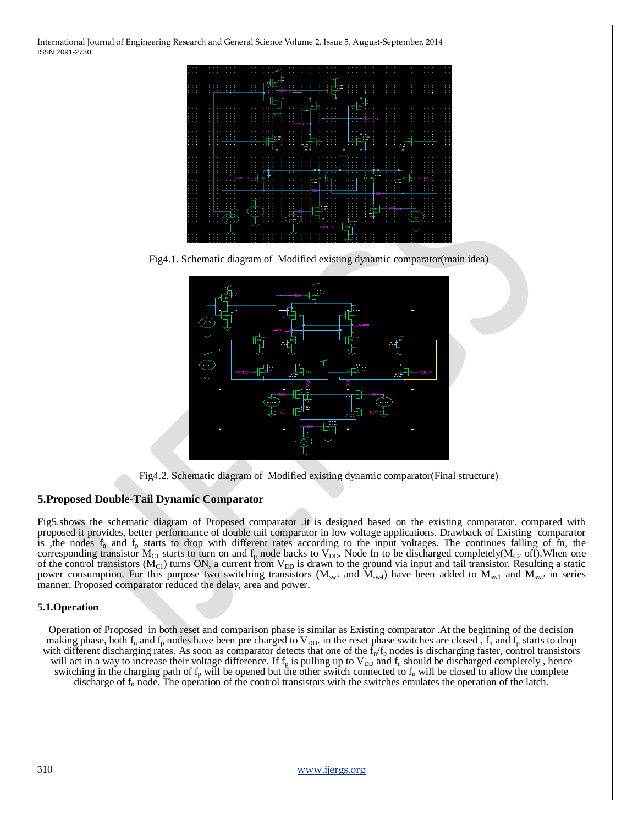

Fig4.1. Schematic diagram of Modified existing dynamic comparator(main idea)



Fig4.2. Schematic diagram of Modified existing dynamic comparator(Final structure)

#### **5.Proposed Double-Tail Dynamic Comparator**

Fig5.shows the schematic diagram of Proposed comparator .it is designed based on the existing comparator. compared with proposed it provides, better performance of double tail comparator in low voltage applications. Drawback of Existing comparator is , the nodes  $f_n$  and  $f_p$  starts to drop with different rates according to the input voltages. The continues falling of fn, the corresponding transistor  $M_{C1}$  starts to turn on and  $f_p$  node backs to  $V_{DD}$ . Node fn to be discharged completely( $M_{C2}$  off). When one of the control transistors ( $M<sub>Cl</sub>$ ) turns ON, a current from  $V<sub>DD</sub>$  is drawn to the ground via input and tail transistor. Resulting a static power consumption. For this purpose two switching transistors ( $M_{sw3}$  and  $M_{sw4}$ ) have been added to  $M_{sw1}$  and  $M_{sw2}$  in series manner. Proposed comparator reduced the delay, area and power.

#### **5.1.Operation**

Operation of Proposed in both reset and comparison phase is similar as Existing comparator .At the beginning of the decision making phase, both  $f_n$  and  $f_p$  nodes have been pre charged to  $V_{DD}$ . in the reset phase switches are closed,  $f_n$  and  $f_p$  starts to drop with different discharging rates. As soon as comparator detects that one of the  $f_n/f_p$  nodes is discharging faster, control transistors will act in a way to increase their voltage difference. If  $f_p$  is pulling up to  $V_{DD}$  and  $f_n$  should be discharged completely, hence switching in the charging path of  $f_p$  will be opened but the other switch connected to  $f_n$  will be closed to allow the complete discharge of  $f_n$  node. The operation of the control transistors with the switches emulates the operation of the latch.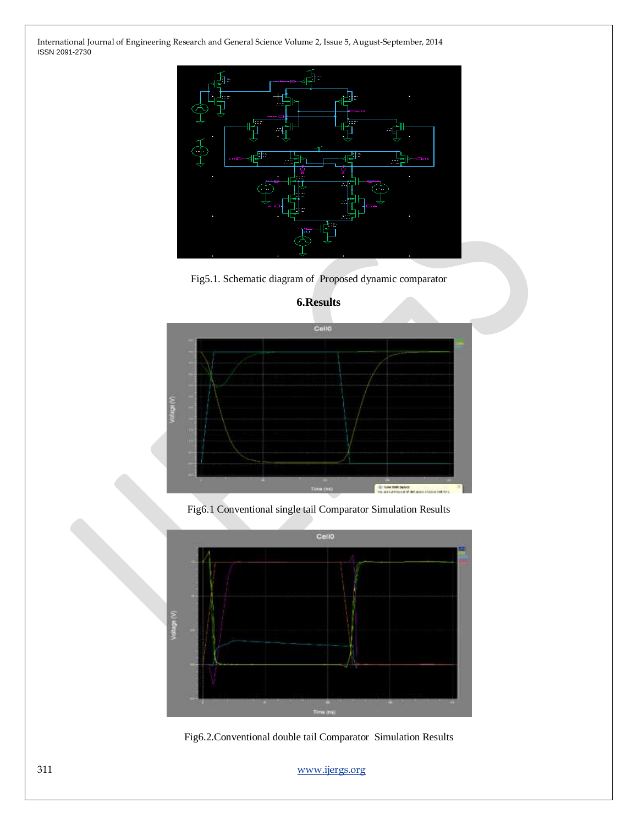

Fig5.1. Schematic diagram of Proposed dynamic comparator



## **6.Results**

Fig6.1 Conventional single tail Comparator Simulation Results



Fig6.2.Conventional double tail Comparator Simulation Results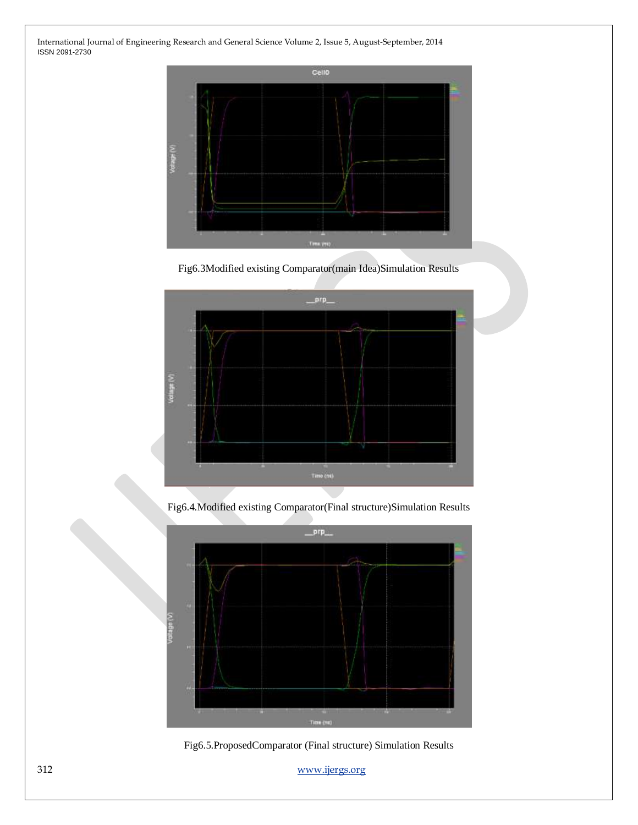

Fig6.3Modified existing Comparator(main Idea)Simulation Results



Fig6.4.Modified existing Comparator(Final structure)Simulation Results



Fig6.5.ProposedComparator (Final structure) Simulation Results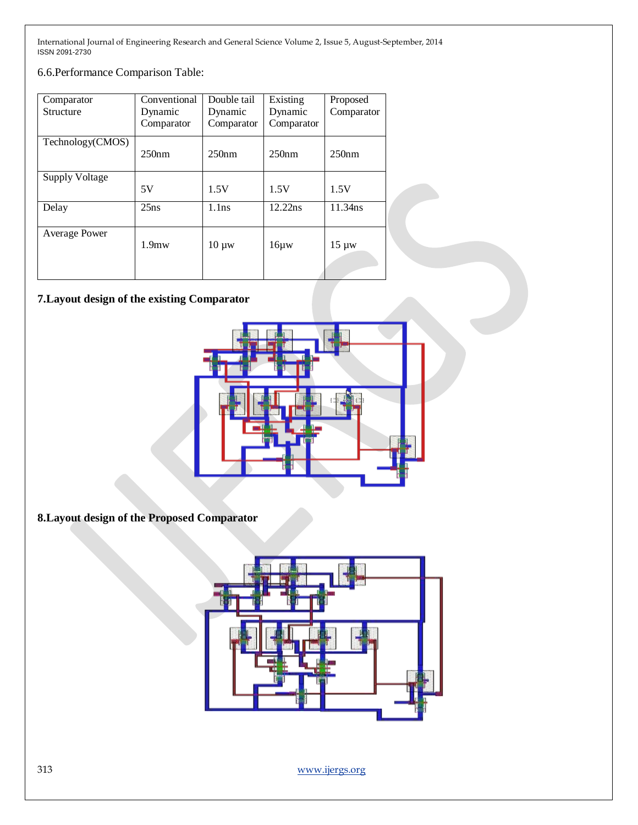6.6.Performance Comparison Table:

| Comparator            | Conventional      | Double tail | Existing   | Proposed   |
|-----------------------|-------------------|-------------|------------|------------|
| <b>Structure</b>      | Dynamic           | Dynamic     | Dynamic    | Comparator |
|                       | Comparator        | Comparator  | Comparator |            |
| Technology(CMOS)      | 250nm             | 250nm       | 250nm      | 250nm      |
| <b>Supply Voltage</b> |                   |             |            |            |
|                       | 5V                | 1.5V        | 1.5V       | 1.5V       |
| Delay                 | 25ns              | 1.1ns       | 12.22ns    | 11.34ns    |
| Average Power         | 1.9 <sub>mw</sub> | $10 \mu w$  | $16\mu w$  | $15 \mu w$ |

# **7.Layout design of the existing Comparator**



**8.Layout design of the Proposed Comparator**